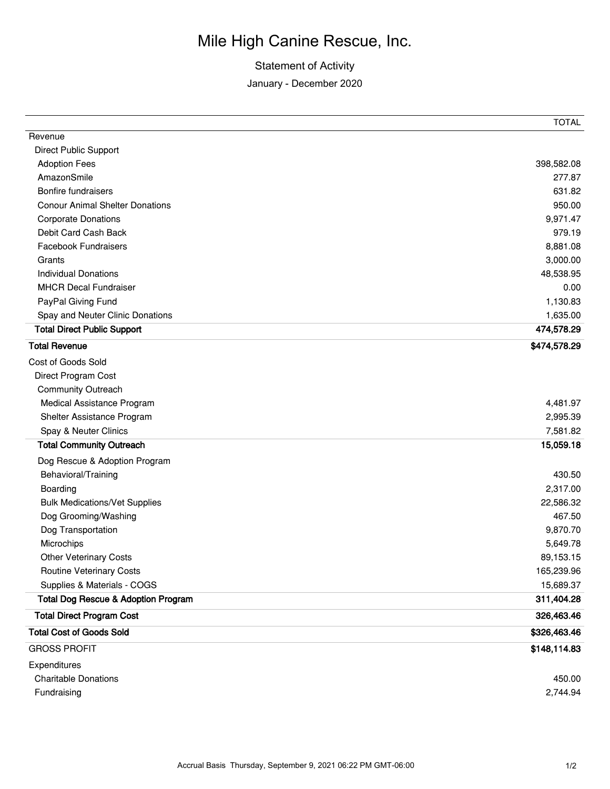## Mile High Canine Rescue, Inc.

## Statement of Activity

January - December 2020

| Revenue                                        |              |
|------------------------------------------------|--------------|
| <b>Direct Public Support</b>                   |              |
| <b>Adoption Fees</b>                           | 398,582.08   |
| AmazonSmile                                    | 277.87       |
| <b>Bonfire fundraisers</b>                     | 631.82       |
| <b>Conour Animal Shelter Donations</b>         | 950.00       |
| <b>Corporate Donations</b>                     | 9,971.47     |
| Debit Card Cash Back                           | 979.19       |
| <b>Facebook Fundraisers</b>                    | 8,881.08     |
| Grants                                         | 3,000.00     |
| <b>Individual Donations</b>                    | 48,538.95    |
| <b>MHCR Decal Fundraiser</b>                   | 0.00         |
| PayPal Giving Fund                             | 1,130.83     |
| Spay and Neuter Clinic Donations               | 1,635.00     |
| <b>Total Direct Public Support</b>             | 474,578.29   |
| <b>Total Revenue</b>                           | \$474,578.29 |
| Cost of Goods Sold                             |              |
| Direct Program Cost                            |              |
| <b>Community Outreach</b>                      |              |
| Medical Assistance Program                     | 4,481.97     |
| Shelter Assistance Program                     | 2,995.39     |
| Spay & Neuter Clinics                          | 7,581.82     |
| <b>Total Community Outreach</b>                | 15,059.18    |
| Dog Rescue & Adoption Program                  |              |
| Behavioral/Training                            | 430.50       |
| Boarding                                       | 2,317.00     |
| <b>Bulk Medications/Vet Supplies</b>           | 22,586.32    |
| Dog Grooming/Washing                           | 467.50       |
| Dog Transportation                             | 9,870.70     |
| Microchips                                     | 5,649.78     |
| <b>Other Veterinary Costs</b>                  | 89,153.15    |
| <b>Routine Veterinary Costs</b>                | 165,239.96   |
| Supplies & Materials - COGS                    | 15,689.37    |
| <b>Total Dog Rescue &amp; Adoption Program</b> | 311,404.28   |
| <b>Total Direct Program Cost</b>               | 326,463.46   |
| <b>Total Cost of Goods Sold</b>                | \$326,463.46 |
| <b>GROSS PROFIT</b>                            | \$148,114.83 |
| Expenditures                                   |              |
| <b>Charitable Donations</b>                    | 450.00       |
| Fundraising                                    | 2,744.94     |

TOTAL